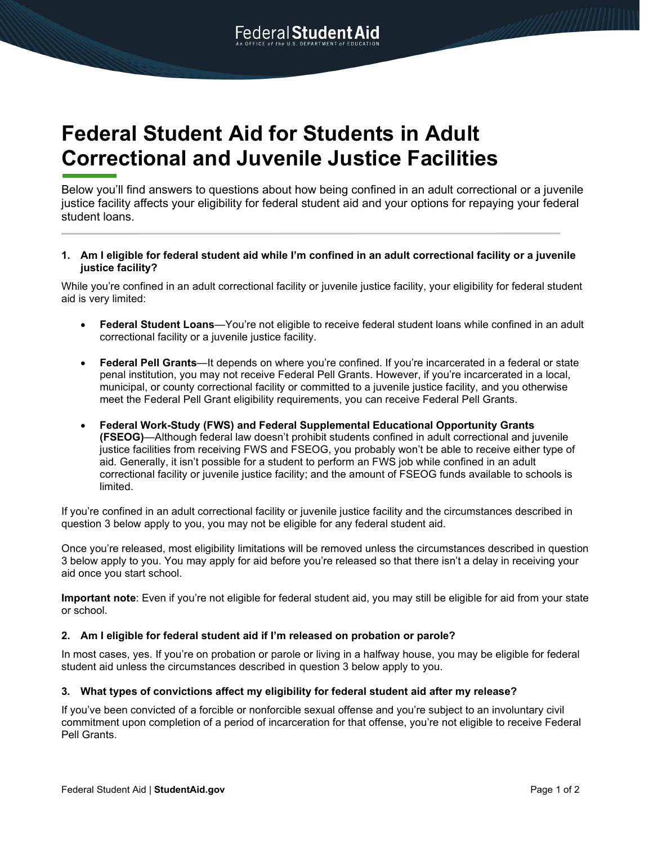# **Federal Student Aid for Students in Adult Correctional and Juvenile Justice Facilities**

Below you'll find answers to questions about how being confined in an adult correctional or a juvenile justice facility affects your eligibility for federal student aid and your options for repaying your federal student loans.

**1. Am I eligible for federal student aid while I'm confined in an adult correctional facility or a juvenile justice facility?**

While you're confined in an adult correctional facility or juvenile justice facility, your eligibility for federal student aid is very limited:

- **Federal Student Loans**—You're not eligible to receive federal student loans while confined in an adult correctional facility or a juvenile justice facility.
- **Federal Pell Grants**—It depends on where you're confined. If you're incarcerated in a federal or state penal institution, you may not receive Federal Pell Grants. However, if you're incarcerated in a local, municipal, or county correctional facility or committed to a juvenile justice facility, and you otherwise meet the Federal Pell Grant eligibility requirements, you can receive Federal Pell Grants.
- **Federal Work-Study (FWS) and Federal Supplemental Educational Opportunity Grants (FSEOG)**—Although federal law doesn't prohibit students confined in adult correctional and juvenile justice facilities from receiving FWS and FSEOG, you probably won't be able to receive either type of aid. Generally, it isn't possible for a student to perform an FWS job while confined in an adult correctional facility or juvenile justice facility; and the amount of FSEOG funds available to schools is limited.

If you're confined in an adult correctional facility or juvenile justice facility and the circumstances described in question 3 below apply to you, you may not be eligible for any federal student aid.

Once you're released, most eligibility limitations will be removed unless the circumstances described in question 3 below apply to you. You may apply for aid before you're released so that there isn't a delay in receiving your aid once you start school.

**Important note**: Even if you're not eligible for federal student aid, you may still be eligible for aid from your state or school.

#### **2. Am I eligible for federal student aid if I'm released on probation or parole?**

In most cases, yes. If you're on probation or parole or living in a halfway house, you may be eligible for federal student aid unless the circumstances described in question 3 below apply to you.

#### **3. What types of convictions affect my eligibility for federal student aid after my release?**

If you've been convicted of a forcible or nonforcible sexual offense and you're subject to an involuntary civil commitment upon completion of a period of incarceration for that offense, you're not eligible to receive Federal Pell Grants.